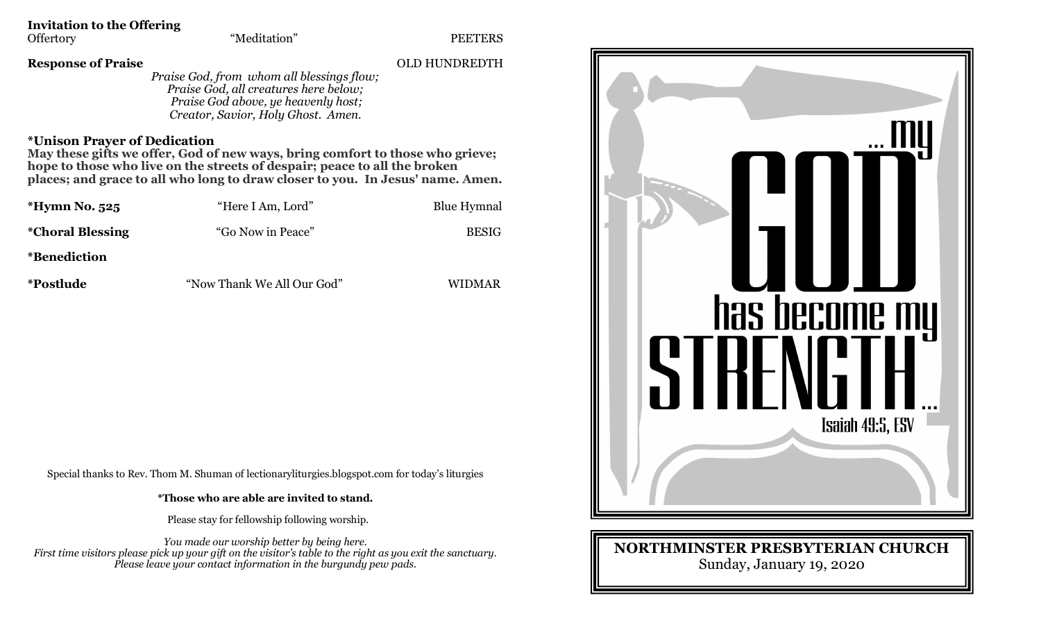## **Invitation to the Offering**

#### **Response of Praise** OLD HUNDREDTH

*Praise God, from whom all blessings flow; Praise God, all creatures here below; Praise God above, ye heavenly host; Creator, Savior, Holy Ghost. Amen.*

#### **\*Unison Prayer of Dedication**

**May these gifts we offer, God of new ways, bring comfort to those who grieve; hope to those who live on the streets of despair; peace to all the broken places; and grace to all who long to draw closer to you. In Jesus' name. Amen.**

| *Hymn No. 525            | "Here I Am, Lord"          | <b>Blue Hymnal</b> |
|--------------------------|----------------------------|--------------------|
| <i>*</i> Choral Blessing | "Go Now in Peace"          | <b>BESIG</b>       |
| <i>*</i> Benediction     |                            |                    |
| <i>*Postlude</i>         | "Now Thank We All Our God" | WIDMAR             |

Special thanks to Rev. Thom M. Shuman of lectionaryliturgies.blogspot.com for today's liturgies

**\*Those who are able are invited to stand.**

Please stay for fellowship following worship.

*You made our worship better by being here. First time visitors please pick up your gift on the visitor's table to the right as you exit the sanctuary. Please leave your contact information in the burgundy pew pads.*



### **NORTHMINSTER PRESBYTERIAN CHURCH** Sunday, January 19, 2020